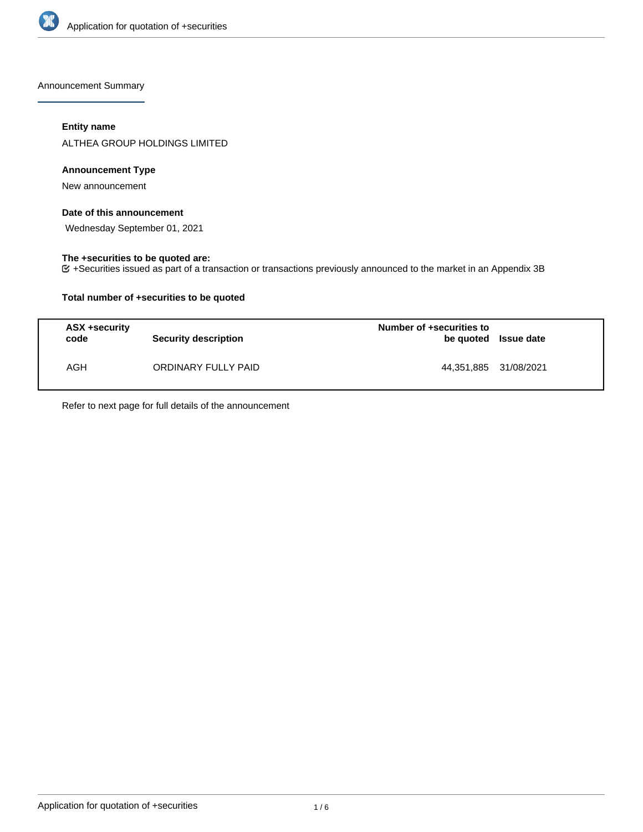

Announcement Summary

# **Entity name**

ALTHEA GROUP HOLDINGS LIMITED

#### **Announcement Type**

New announcement

## **Date of this announcement**

Wednesday September 01, 2021

### **The +securities to be quoted are:**

+Securities issued as part of a transaction or transactions previously announced to the market in an Appendix 3B

## **Total number of +securities to be quoted**

| ASX +security<br>code | <b>Security description</b> | Number of +securities to<br>be quoted Issue date |  |
|-----------------------|-----------------------------|--------------------------------------------------|--|
| AGH                   | ORDINARY FULLY PAID         | 44,351,885 31/08/2021                            |  |

Refer to next page for full details of the announcement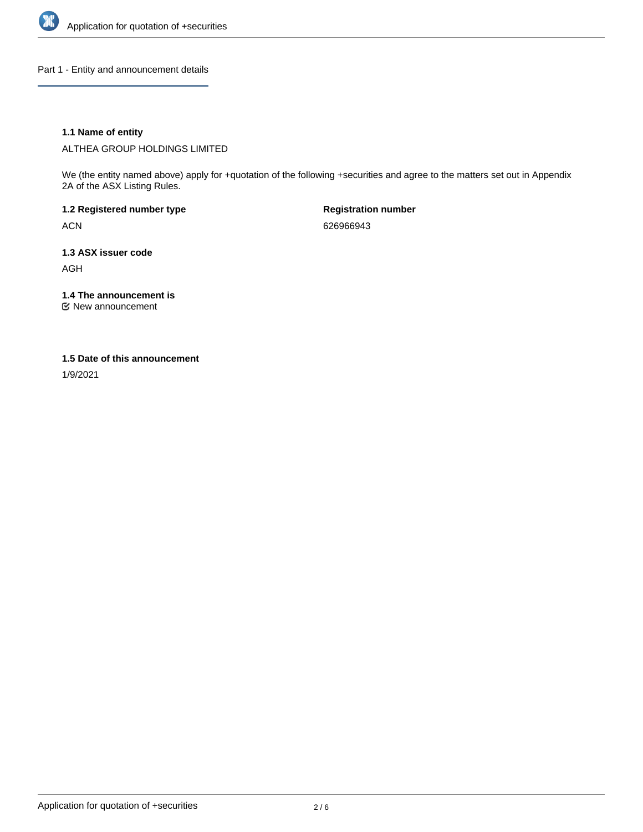

Part 1 - Entity and announcement details

## **1.1 Name of entity**

ALTHEA GROUP HOLDINGS LIMITED

We (the entity named above) apply for +quotation of the following +securities and agree to the matters set out in Appendix 2A of the ASX Listing Rules.

**1.2 Registered number type** ACN

**Registration number** 626966943

**1.3 ASX issuer code** AGH

**1.4 The announcement is**

New announcement

#### **1.5 Date of this announcement**

1/9/2021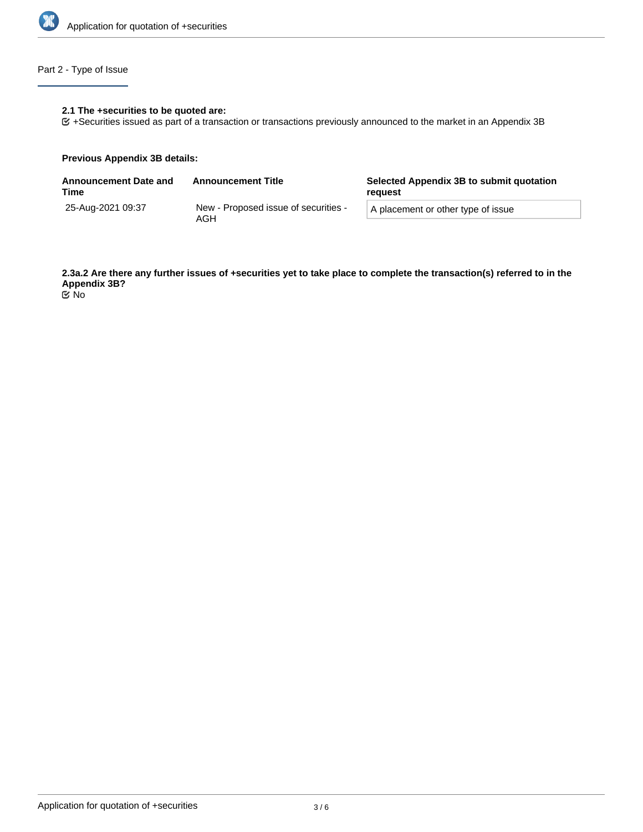

# Part 2 - Type of Issue

## **2.1 The +securities to be quoted are:**

+Securities issued as part of a transaction or transactions previously announced to the market in an Appendix 3B

#### **Previous Appendix 3B details:**

| <b>Announcement Date and</b><br>Time | <b>Announcement Title</b>                   | Selected Appendix 3B to submit quotation<br>reguest |  |
|--------------------------------------|---------------------------------------------|-----------------------------------------------------|--|
| 25-Aug-2021 09:37                    | New - Proposed issue of securities -<br>AGH | A placement or other type of issue                  |  |

**2.3a.2 Are there any further issues of +securities yet to take place to complete the transaction(s) referred to in the Appendix 3B?** No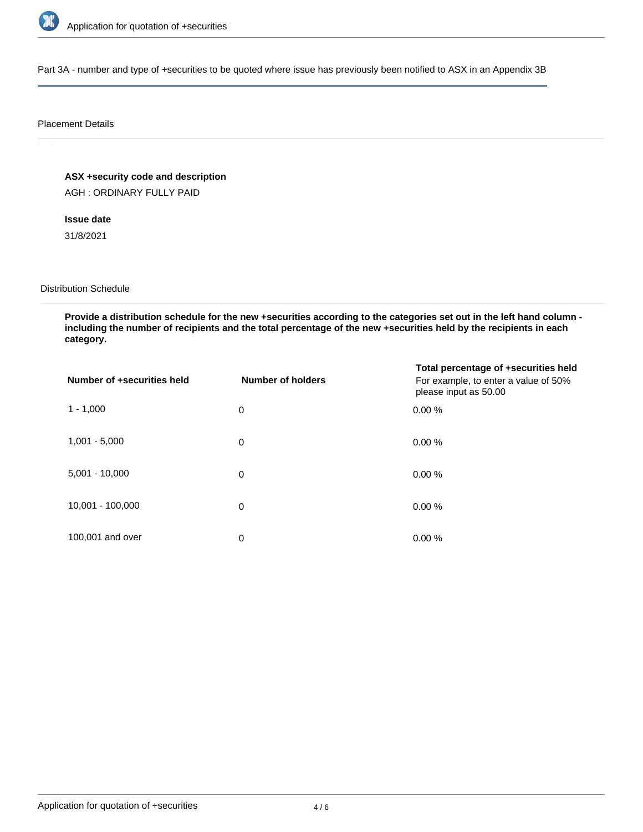

Part 3A - number and type of +securities to be quoted where issue has previously been notified to ASX in an Appendix 3B

#### Placement Details

**ASX +security code and description**

AGH : ORDINARY FULLY PAID

**Issue date** 31/8/2021

#### Distribution Schedule

**Provide a distribution schedule for the new +securities according to the categories set out in the left hand column including the number of recipients and the total percentage of the new +securities held by the recipients in each category.**

| Number of +securities held | Number of holders | Total percentage of +securities held<br>For example, to enter a value of 50%<br>please input as 50.00 |
|----------------------------|-------------------|-------------------------------------------------------------------------------------------------------|
| $1 - 1,000$                | 0                 | 0.00%                                                                                                 |
| $1,001 - 5,000$            | 0                 | 0.00%                                                                                                 |
| $5,001 - 10,000$           | 0                 | 0.00%                                                                                                 |
| 10,001 - 100,000           | 0                 | 0.00%                                                                                                 |
| 100,001 and over           | 0                 | 0.00%                                                                                                 |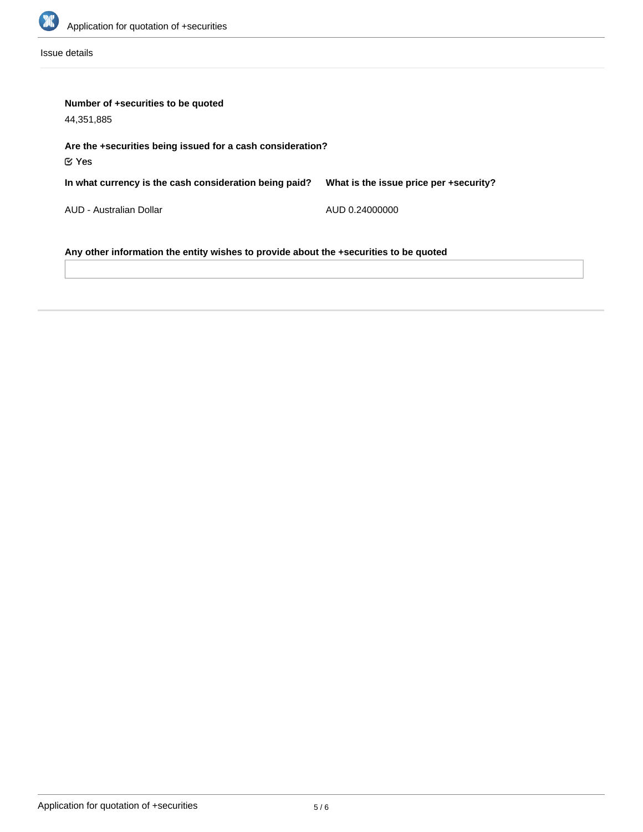

Issue details

| Number of +securities to be quoted<br>44,351,885                                      |                                        |  |  |  |
|---------------------------------------------------------------------------------------|----------------------------------------|--|--|--|
| Are the +securities being issued for a cash consideration?<br>$\mathfrak C$ Yes       |                                        |  |  |  |
| In what currency is the cash consideration being paid?                                | What is the issue price per +security? |  |  |  |
| AUD - Australian Dollar                                                               | AUD 0.24000000                         |  |  |  |
| Any other information the entity wishes to provide about the +securities to be quoted |                                        |  |  |  |